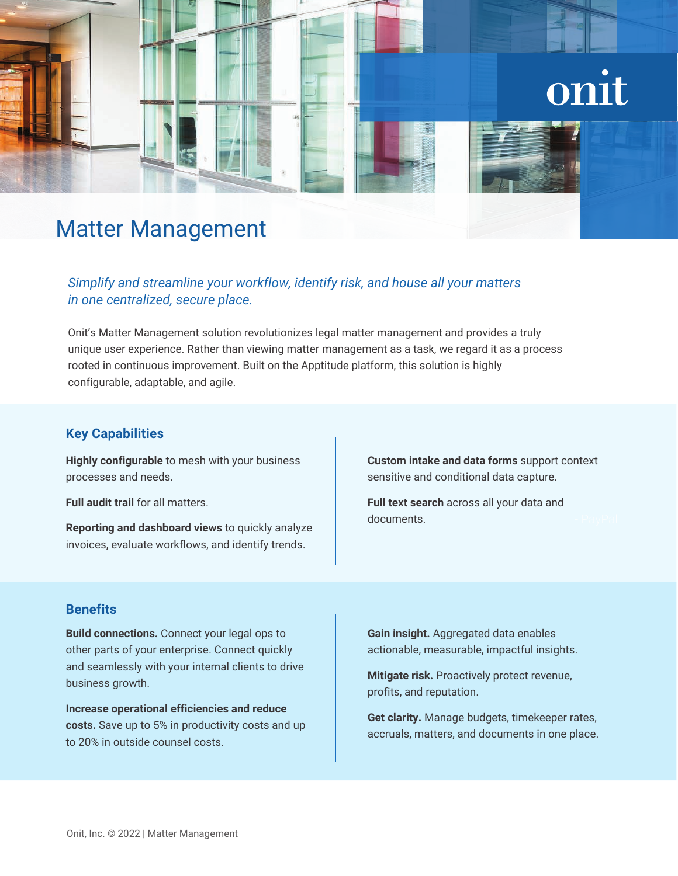# onit

## Matter Management

#### *Simplify and streamline your workflow, identify risk, and house all your matters in one centralized, secure place.*

Onit's Matter Management solution revolutionizes legal matter management and provides a truly unique user experience. Rather than viewing matter management as a task, we regard it as a process rooted in continuous improvement. Built on the Apptitude platform, this solution is highly configurable, adaptable, and agile.

#### **Key Capabilities**

**Highly configurable** to mesh with your business processes and needs.

**Full audit trail** for all matters.

**Reporting and dashboard views** to quickly analyze invoices, evaluate workflows, and identify trends.

**Custom intake and data forms** support context sensitive and conditional data capture.

**Full text search** across all your data and documents.

#### **Benefits**

**Build connections.** Connect your legal ops to other parts of your enterprise. Connect quickly and seamlessly with your internal clients to drive business growth.

**Increase operational efficiencies and reduce costs.** Save up to 5% in productivity costs and up to 20% in outside counsel costs.

**Gain insight.** Aggregated data enables actionable, measurable, impactful insights.

**Mitigate risk.** Proactively protect revenue, profits, and reputation.

**Get clarity.** Manage budgets, timekeeper rates, accruals, matters, and documents in one place.